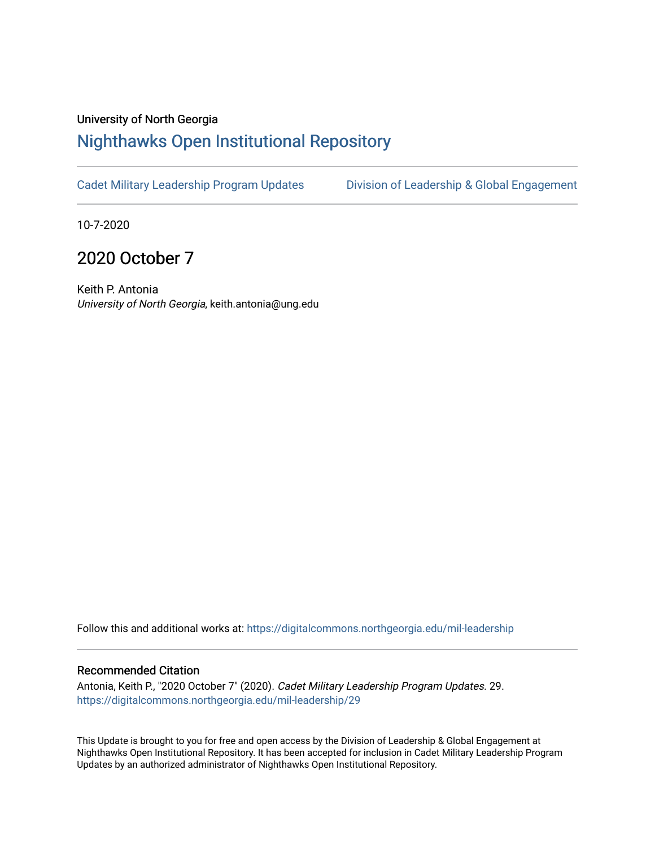#### University of North Georgia

## [Nighthawks Open Institutional Repository](https://digitalcommons.northgeorgia.edu/)

[Cadet Military Leadership Program Updates](https://digitalcommons.northgeorgia.edu/mil-leadership) Division of Leadership & Global Engagement

10-7-2020

## 2020 October 7

Keith P. Antonia University of North Georgia, keith.antonia@ung.edu

Follow this and additional works at: [https://digitalcommons.northgeorgia.edu/mil-leadership](https://digitalcommons.northgeorgia.edu/mil-leadership?utm_source=digitalcommons.northgeorgia.edu%2Fmil-leadership%2F29&utm_medium=PDF&utm_campaign=PDFCoverPages) 

#### Recommended Citation

Antonia, Keith P., "2020 October 7" (2020). Cadet Military Leadership Program Updates. 29. [https://digitalcommons.northgeorgia.edu/mil-leadership/29](https://digitalcommons.northgeorgia.edu/mil-leadership/29?utm_source=digitalcommons.northgeorgia.edu%2Fmil-leadership%2F29&utm_medium=PDF&utm_campaign=PDFCoverPages)

This Update is brought to you for free and open access by the Division of Leadership & Global Engagement at Nighthawks Open Institutional Repository. It has been accepted for inclusion in Cadet Military Leadership Program Updates by an authorized administrator of Nighthawks Open Institutional Repository.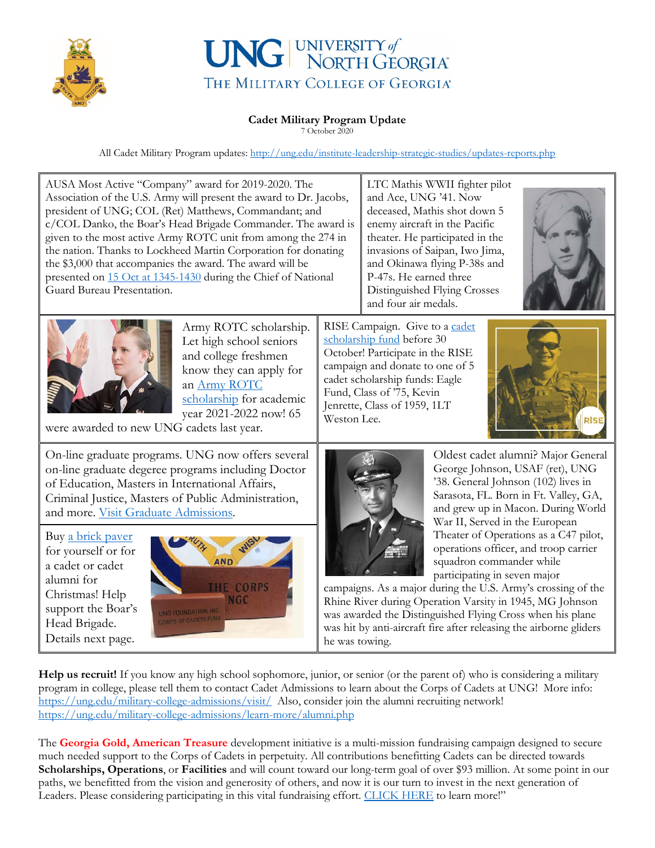

# UNG UNIVERSITY of THE MILITARY COLLEGE OF GEORGIA®

#### **Cadet Military Program Update**

7 October 2020

All Cadet Military Program updates:<http://ung.edu/institute-leadership-strategic-studies/updates-reports.php>

| AUSA Most Active "Company" award for 2019-2020. The<br>Association of the U.S. Army will present the award to Dr. Jacobs,<br>president of UNG; COL (Ret) Matthews, Commandant; and<br>c/COL Danko, the Boar's Head Brigade Commander. The award is<br>given to the most active Army ROTC unit from among the 274 in<br>the nation. Thanks to Lockheed Martin Corporation for donating<br>the \$3,000 that accompanies the award. The award will be<br>presented on 15 Oct at 1345-1430 during the Chief of National<br>Guard Bureau Presentation. |                                                                                                                                                                                                                                                   | LTC Mathis WWII fighter pilot<br>and Ace, UNG '41. Now<br>deceased, Mathis shot down 5<br>enemy aircraft in the Pacific<br>theater. He participated in the<br>invasions of Saipan, Iwo Jima,<br>and Okinawa flying P-38s and<br>P-47s. He earned three<br>Distinguished Flying Crosses<br>and four air medals. |                                                                                                                                                                                                                                                                                                                                                                                                                                                                                                                                                                                                                                            |
|---------------------------------------------------------------------------------------------------------------------------------------------------------------------------------------------------------------------------------------------------------------------------------------------------------------------------------------------------------------------------------------------------------------------------------------------------------------------------------------------------------------------------------------------------|---------------------------------------------------------------------------------------------------------------------------------------------------------------------------------------------------------------------------------------------------|----------------------------------------------------------------------------------------------------------------------------------------------------------------------------------------------------------------------------------------------------------------------------------------------------------------|--------------------------------------------------------------------------------------------------------------------------------------------------------------------------------------------------------------------------------------------------------------------------------------------------------------------------------------------------------------------------------------------------------------------------------------------------------------------------------------------------------------------------------------------------------------------------------------------------------------------------------------------|
| Army ROTC scholarship.<br>Let high school seniors<br>and college freshmen<br>know they can apply for<br>an Army ROTC<br>scholarship for academic<br>year 2021-2022 now! 65<br>were awarded to new UNG cadets last year.                                                                                                                                                                                                                                                                                                                           | RISE Campaign. Give to a cadet<br>scholarship fund before 30<br>October! Participate in the RISE<br>campaign and donate to one of 5<br>cadet scholarship funds: Eagle<br>Fund, Class of '75, Kevin<br>Jenrette, Class of 1959, 1LT<br>Weston Lee. |                                                                                                                                                                                                                                                                                                                |                                                                                                                                                                                                                                                                                                                                                                                                                                                                                                                                                                                                                                            |
| On-line graduate programs. UNG now offers several<br>on-line graduate degeree programs including Doctor<br>of Education, Masters in International Affairs,<br>Criminal Justice, Masters of Public Administration,<br>and more. Visit Graduate Admissions.                                                                                                                                                                                                                                                                                         |                                                                                                                                                                                                                                                   |                                                                                                                                                                                                                                                                                                                | Oldest cadet alumni? Major General<br>George Johnson, USAF (ret), UNG<br>'38. General Johnson (102) lives in<br>Sarasota, FL. Born in Ft. Valley, GA,<br>and grew up in Macon. During World<br>War II, Served in the European<br>Theater of Operations as a C47 pilot,<br>operations officer, and troop carrier<br>squadron commander while<br>participating in seven major<br>campaigns. As a major during the U.S. Army's crossing of the<br>Rhine River during Operation Varsity in 1945, MG Johnson<br>was awarded the Distinguished Flying Cross when his plane<br>was hit by anti-aircraft fire after releasing the airborne gliders |
| Buy a brick paver<br>for yourself or for<br><b>AND</b><br>a cadet or cadet<br>alumni for<br><b>CORPS</b><br>Christmas! Help<br><b>NGC</b><br>support the Boar's<br>UNG FOUNDATION, INC.<br>ORPS OF CADETS FUND<br>Head Brigade.<br>Details next page.                                                                                                                                                                                                                                                                                             | he was towing.                                                                                                                                                                                                                                    |                                                                                                                                                                                                                                                                                                                |                                                                                                                                                                                                                                                                                                                                                                                                                                                                                                                                                                                                                                            |
| <b>Help us recruit!</b> If you know any high school sophomore, junior, or senior (or the parent of) who is considering a military<br>program in college, please tell them to contact Cadet Admissions to learn about the Corps of Cadets at UNG! More info:<br>https://ung.edu/military-college-admissions/visit/ Also, consider join the alumni recruiting network!                                                                                                                                                                              |                                                                                                                                                                                                                                                   |                                                                                                                                                                                                                                                                                                                |                                                                                                                                                                                                                                                                                                                                                                                                                                                                                                                                                                                                                                            |

<https://ung.edu/military-college-admissions/learn-more/alumni.php>

The **[Georgia Gold, American Treasure](http://unggive.org/give/corps-of-cadets)** development initiative is a multi-mission fundraising campaign designed to secure much needed support to the Corps of Cadets in perpetuity. All contributions benefitting Cadets can be directed towards **Scholarships, Operations**, or **Facilities** and will count toward our long-term goal of over \$93 million. At some point in our paths, we benefitted from the vision and generosity of others, and now it is our turn to invest in the next generation of Leaders. Please considering participating in this vital fundraising effort. [CLICK HERE](https://unggive.org/corps-of-cadets/) to learn more!"